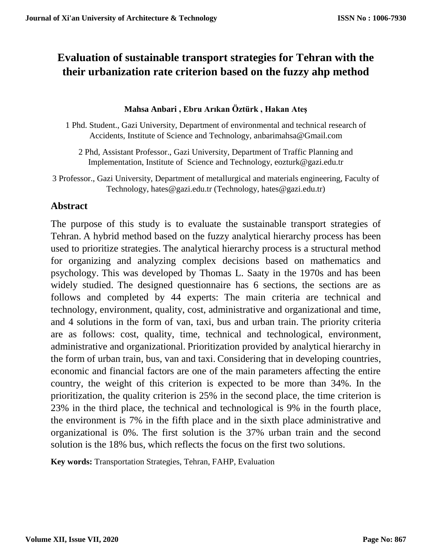# **Evaluation of sustainable transport strategies for Tehran with the their urbanization rate criterion based on the fuzzy ahp method**

#### **Mahsa Anbari , Ebru Arıkan Öztürk , Hakan Ateş**

- 1 Phd. Student., Gazi University, Department of environmental and technical research of Accidents, Institute of Science and Technology, anbarimahsa@Gmail.com
	- 2 Phd, Assistant Professor., Gazi University, Department of Traffic Planning and Implementation, Institute of Science and Technology, eozturk@gazi.edu.tr
- 3 Professor., Gazi University, Department of metallurgical and materials engineering, Faculty of Technology, hates@gazi.edu.tr (Technology, hates@gazi.edu.tr)

### **Abstract**

The purpose of this study is to evaluate the sustainable transport strategies of Tehran. A hybrid method based on the fuzzy analytical hierarchy process has been used to prioritize strategies. The analytical hierarchy process is a structural method for organizing and analyzing complex decisions based on mathematics and psychology. This was developed by Thomas L. Saaty in the 1970s and has been widely studied. The designed questionnaire has 6 sections, the sections are as follows and completed by 44 experts: The main criteria are technical and technology, environment, quality, cost, administrative and organizational and time, and 4 solutions in the form of van, taxi, bus and urban train. The priority criteria are as follows: cost, quality, time, technical and technological, environment, administrative and organizational. Prioritization provided by analytical hierarchy in the form of urban train, bus, van and taxi. Considering that in developing countries, economic and financial factors are one of the main parameters affecting the entire country, the weight of this criterion is expected to be more than 34%. In the prioritization, the quality criterion is 25% in the second place, the time criterion is 23% in the third place, the technical and technological is 9% in the fourth place, the environment is 7% in the fifth place and in the sixth place administrative and organizational is 0%. The first solution is the 37% urban train and the second solution is the 18% bus, which reflects the focus on the first two solutions.

**Key words:** Transportation Strategies, Tehran, FAHP, Evaluation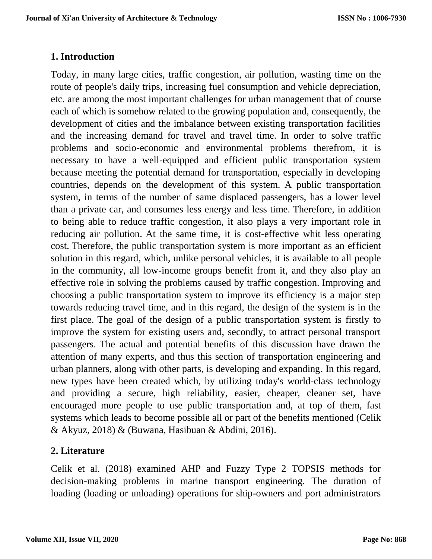# **1. Introduction**

Today, in many large cities, traffic congestion, air pollution, wasting time on the route of people's daily trips, increasing fuel consumption and vehicle depreciation, etc. are among the most important challenges for urban management that of course each of which is somehow related to the growing population and, consequently, the development of cities and the imbalance between existing transportation facilities and the increasing demand for travel and travel time. In order to solve traffic problems and socio-economic and environmental problems therefrom, it is necessary to have a well-equipped and efficient public transportation system because meeting the potential demand for transportation, especially in developing countries, depends on the development of this system. A public transportation system, in terms of the number of same displaced passengers, has a lower level than a private car, and consumes less energy and less time. Therefore, in addition to being able to reduce traffic congestion, it also plays a very important role in reducing air pollution. At the same time, it is cost-effective whit less operating cost. Therefore, the public transportation system is more important as an efficient solution in this regard, which, unlike personal vehicles, it is available to all people in the community, all low-income groups benefit from it, and they also play an effective role in solving the problems caused by traffic congestion. Improving and choosing a public transportation system to improve its efficiency is a major step towards reducing travel time, and in this regard, the design of the system is in the first place. The goal of the design of a public transportation system is firstly to improve the system for existing users and, secondly, to attract personal transport passengers. The actual and potential benefits of this discussion have drawn the attention of many experts, and thus this section of transportation engineering and urban planners, along with other parts, is developing and expanding. In this regard, new types have been created which, by utilizing today's world-class technology and providing a secure, high reliability, easier, cheaper, cleaner set, have encouraged more people to use public transportation and, at top of them, fast systems which leads to become possible all or part of the benefits mentioned (Celik & Akyuz, 2018) & (Buwana, Hasibuan & Abdini, 2016).

# **2. Literature**

Celik et al. (2018) examined AHP and Fuzzy Type 2 TOPSIS methods for decision-making problems in marine transport engineering. The duration of loading (loading or unloading) operations for ship-owners and port administrators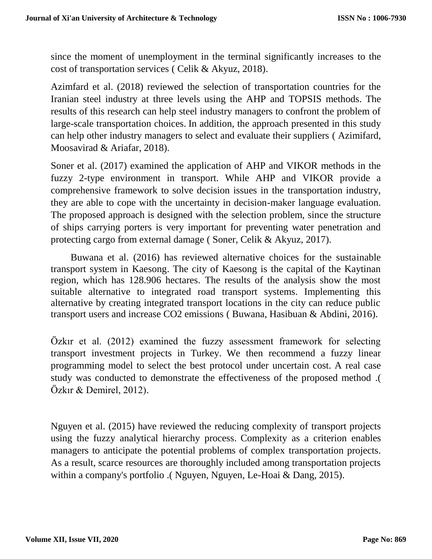since the moment of unemployment in the terminal significantly increases to the cost of transportation services ( Celik & Akyuz, 2018).

Azimfard et al. (2018) reviewed the selection of transportation countries for the Iranian steel industry at three levels using the AHP and TOPSIS methods. The results of this research can help steel industry managers to confront the problem of large-scale transportation choices. In addition, the approach presented in this study can help other industry managers to select and evaluate their suppliers ( Azimifard, Moosavirad & Ariafar, 2018).

Soner et al. (2017) examined the application of AHP and VIKOR methods in the fuzzy 2-type environment in transport. While AHP and VIKOR provide a comprehensive framework to solve decision issues in the transportation industry, they are able to cope with the uncertainty in decision-maker language evaluation. The proposed approach is designed with the selection problem, since the structure of ships carrying porters is very important for preventing water penetration and protecting cargo from external damage ( Soner, Celik & Akyuz, 2017).

Buwana et al. (2016) has reviewed alternative choices for the sustainable transport system in Kaesong. The city of Kaesong is the capital of the Kaytinan region, which has 128.906 hectares. The results of the analysis show the most suitable alternative to integrated road transport systems. Implementing this alternative by creating integrated transport locations in the city can reduce public transport users and increase CO2 emissions ( Buwana, Hasibuan & Abdini, 2016).

Özkır et al. (2012) examined the fuzzy assessment framework for selecting transport investment projects in Turkey. We then recommend a fuzzy linear programming model to select the best protocol under uncertain cost. A real case study was conducted to demonstrate the effectiveness of the proposed method .( Özkır & Demirel, 2012).

Nguyen et al. (2015) have reviewed the reducing complexity of transport projects using the fuzzy analytical hierarchy process. Complexity as a criterion enables managers to anticipate the potential problems of complex transportation projects. As a result, scarce resources are thoroughly included among transportation projects within a company's portfolio .( Nguyen, Nguyen, Le-Hoai & Dang, 2015).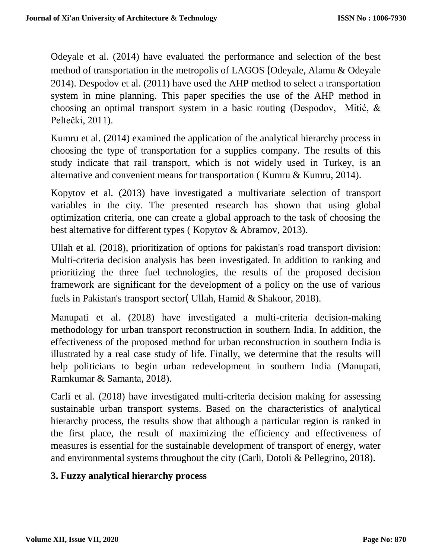Odeyale et al. (2014) have evaluated the performance and selection of the best method of transportation in the metropolis of LAGOS (Odeyale, Alamu & Odeyale 2014). Despodov et al. (2011) have used the AHP method to select a transportation system in mine planning. This paper specifies the use of the AHP method in choosing an optimal transport system in a basic routing (Despodov, Mitić, & Peltečki, 2011).

Kumru et al. (2014) examined the application of the analytical hierarchy process in choosing the type of transportation for a supplies company. The results of this study indicate that rail transport, which is not widely used in Turkey, is an alternative and convenient means for transportation ( Kumru & Kumru, 2014).

Kopytov et al. (2013) have investigated a multivariate selection of transport variables in the city. The presented research has shown that using global optimization criteria, one can create a global approach to the task of choosing the best alternative for different types ( Kopytov & Abramov, 2013).

Ullah et al. (2018), prioritization of options for pakistan's road transport division: Multi-criteria decision analysis has been investigated. In addition to ranking and prioritizing the three fuel technologies, the results of the proposed decision framework are significant for the development of a policy on the use of various fuels in Pakistan's transport sector( Ullah, Hamid & Shakoor, 2018).

Manupati et al. (2018) have investigated a multi-criteria decision-making methodology for urban transport reconstruction in southern India. In addition, the effectiveness of the proposed method for urban reconstruction in southern India is illustrated by a real case study of life. Finally, we determine that the results will help politicians to begin urban redevelopment in southern India (Manupati, Ramkumar & Samanta, 2018).

Carli et al. (2018) have investigated multi-criteria decision making for assessing sustainable urban transport systems. Based on the characteristics of analytical hierarchy process, the results show that although a particular region is ranked in the first place, the result of maximizing the efficiency and effectiveness of measures is essential for the sustainable development of transport of energy, water and environmental systems throughout the city (Carli, Dotoli & Pellegrino, 2018).

# **3. Fuzzy analytical hierarchy process**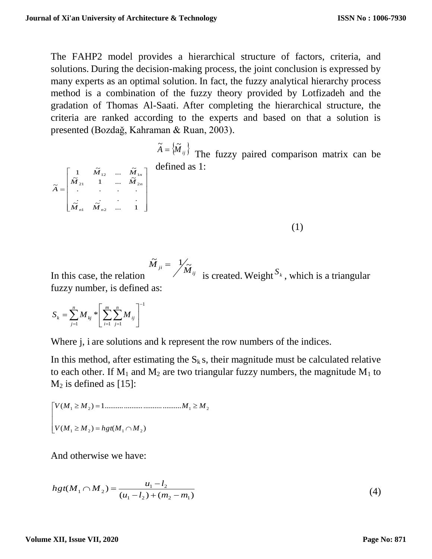The FAHP2 model provides a hierarchical structure of factors, criteria, and solutions. During the decision-making process, the joint conclusion is expressed by many experts as an optimal solution. In fact, the fuzzy analytical hierarchy process method is a combination of the fuzzy theory provided by Lotfizadeh and the gradation of Thomas Al-Saati. After completing the hierarchical structure, the criteria are ranked according to the experts and based on that a solution is presented (Bozdağ, Kahraman & Ruan, 2003).

> $\widetilde{A} = \{ \widetilde{M}_{ij} \}$  The fuzzy paired comparison matrix can be defined as 1:

> > (1)

In this case, the relation  $\widetilde{M}_{ji} = \frac{1}{M_{ij}}$  is created. Weight  $S_k$ , which is a triangular fuzzy number, is defined as:

$$
S_k = \sum_{j=1}^n M_{kj} * \left[ \sum_{i=1}^m \sum_{j=1}^n M_{ij} \right]^{-1}
$$

 $\widetilde{M}$  .  $\widetilde{M}$  . . . 1

 $\widetilde{M}$  ...  $\widetilde{M}$  $1 \tilde{M}$  ...  $\tilde{M}$ 

*M*<sub>2</sub>, 1 ... *M* 

21 **1 112** 2

 $12 \cdots 17.1$ 

*M M*

. .

1  $\frac{1}{2}$   $n^2$ 

*n n*

*M M*

L L  $\mathsf{L}$  $\mathsf{L}$  $\mathsf{L}$  $\mathsf{L}$ 

. .

=

~

*A*

Γ

L

Where *j*, *i* are solutions and *k* represent the row numbers of the indices.

In this method, after estimating the  $S_k$  s, their magnitude must be calculated relative to each other. If  $M_1$  and  $M_2$  are two triangular fuzzy numbers, the magnitude  $M_1$  to  $M<sub>2</sub>$  is defined as [15]:

 ( ) ( ) ( ) 1........................................ 1 2 1 2 1 2 1 2 *V M M hgt M M V M M M M*

 $\overline{\phantom{a}}$ 

.

*n n*

┐

And otherwise we have:

$$
hgt(M_1 \cap M_2) = \frac{u_1 - l_2}{(u_1 - l_2) + (m_2 - m_1)}
$$
\n(4)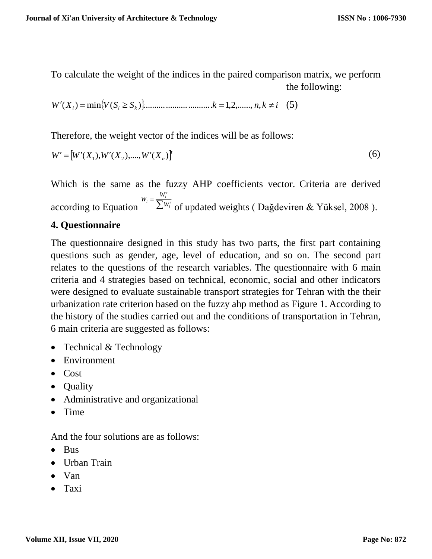To calculate the weight of the indices in the paired comparison matrix, we perform the following:

$$
W'(X_i) = \min\{V(S_i \ge S_k)\}\dots \dots \dots \dots \dots \dots \dots \dots \dots k = 1, 2, \dots, n, k \ne i \quad (5)
$$

Therefore, the weight vector of the indices will be as follows:

$$
W' = [W'(X_1), W'(X_2), \dots, W'(X_n)]'
$$
\n<sup>(6)</sup>

Which is the same as the fuzzy AHP coefficients vector. Criteria are derived according to Equation  $\sqrt{n} \sum_{i=1}^{n} W_i$  $=\frac{W_i'}{\sum W_i}$  $\frac{V_i}{V} = \frac{W_i}{\sum W_i}$  $W_i = \frac{W_i'}{\sum W_i'}$  of updated weights (Dağdeviren & Yüksel, 2008).

### **4. Questionnaire**

The questionnaire designed in this study has two parts, the first part containing questions such as gender, age, level of education, and so on. The second part relates to the questions of the research variables. The questionnaire with 6 main criteria and 4 strategies based on technical, economic, social and other indicators were designed to evaluate sustainable transport strategies for Tehran with the their urbanization rate criterion based on the fuzzy ahp method as Figure 1. According to the history of the studies carried out and the conditions of transportation in Tehran, 6 main criteria are suggested as follows:

- Technical & Technology
- Environment
- Cost
- Quality
- Administrative and organizational
- $\bullet$  Time

And the four solutions are as follows:

- Bus
- Urban Train
- Van
- Taxi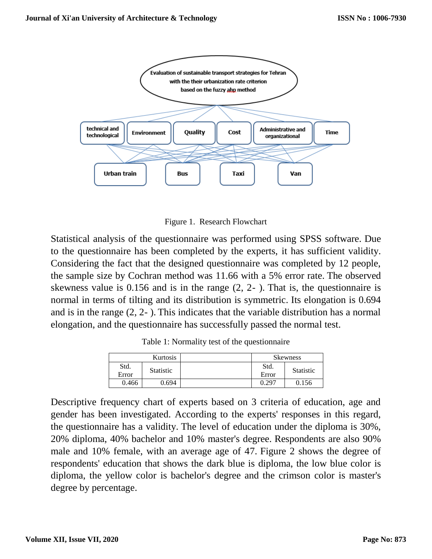

Figure 1. Research Flowchart

Statistical analysis of the questionnaire was performed using SPSS software. Due to the questionnaire has been completed by the experts, it has sufficient validity. Considering the fact that the designed questionnaire was completed by 12 people, the sample size by Cochran method was 11.66 with a 5% error rate. The observed skewness value is 0.156 and is in the range (2, 2- ). That is, the questionnaire is normal in terms of tilting and its distribution is symmetric. Its elongation is 0.694 and is in the range (2, 2- ). This indicates that the variable distribution has a normal elongation, and the questionnaire has successfully passed the normal test.

Table 1: Normality test of the questionnaire

| Kurtosis      |                  | <b>Skewness</b> |                  |
|---------------|------------------|-----------------|------------------|
| Std.<br>Error | <b>Statistic</b> | Std.<br>Error   | <b>Statistic</b> |
| 0.466         | 0.694            | 0.297           | 0.156            |

Descriptive frequency chart of experts based on 3 criteria of education, age and gender has been investigated. According to the experts' responses in this regard, the questionnaire has a validity. The level of education under the diploma is 30%, 20% diploma, 40% bachelor and 10% master's degree. Respondents are also 90% male and 10% female, with an average age of 47. Figure 2 shows the degree of respondents' education that shows the dark blue is diploma, the low blue color is diploma, the yellow color is bachelor's degree and the crimson color is master's degree by percentage.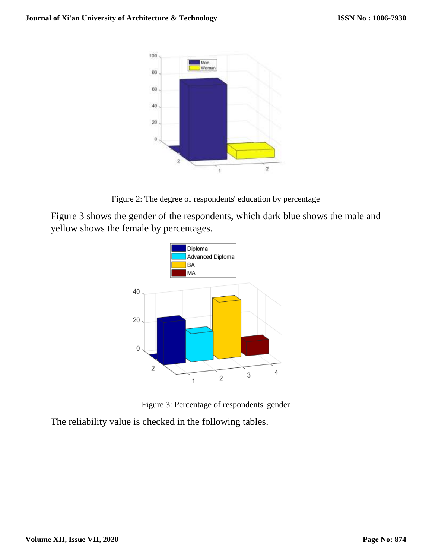

Figure 2: The degree of respondents' education by percentage

Figure 3 shows the gender of the respondents, which dark blue shows the male and yellow shows the female by percentages.



Figure 3: Percentage of respondents' gender

The reliability value is checked in the following tables.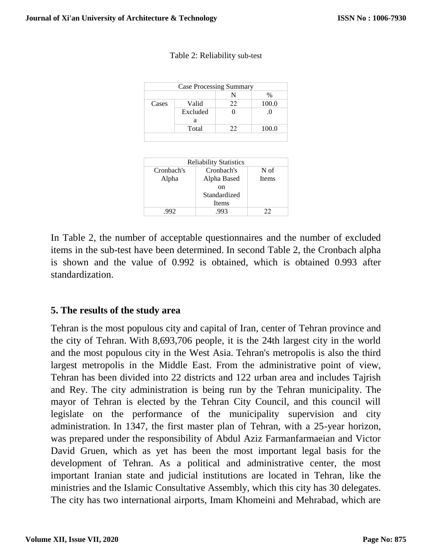|       |          | N  | %     |
|-------|----------|----|-------|
| Cases | Valid    | 22 | 100.0 |
|       | Excluded |    | . U   |
|       | a        |    |       |
|       | Total    | 22 | 100.0 |

| <b>Reliability Statistics</b> |              |              |  |  |  |  |
|-------------------------------|--------------|--------------|--|--|--|--|
| Cronbach's                    | Cronbach's   | N of         |  |  |  |  |
| Alpha                         | Alpha Based  | <b>Items</b> |  |  |  |  |
|                               | on           |              |  |  |  |  |
|                               | Standardized |              |  |  |  |  |
|                               | Items        |              |  |  |  |  |
| .992                          | .993         | 22           |  |  |  |  |

In Table 2, the number of acceptable questionnaires and the number of excluded items in the sub-test have been determined. In second Table 2, the Cronbach alpha is shown and the value of 0.992 is obtained, which is obtained 0.993 after standardization.

### **5. The results of the study area**

Tehran is the most populous city and capital of Iran, center of Tehran province and the city of Tehran. With 8,693,706 people, it is the 24th largest city in the world and the most populous city in the West Asia. Tehran's metropolis is also the third largest metropolis in the Middle East. From the administrative point of view, Tehran has been divided into 22 districts and 122 urban area and includes Tajrish and Rey. The city administration is being run by the Tehran municipality. The mayor of Tehran is elected by the Tehran City Council, and this council will legislate on the performance of the municipality supervision and city administration. In 1347, the first master plan of Tehran, with a 25-year horizon, was prepared under the responsibility of Abdul Aziz Farmanfarmaeian and Victor David Gruen, which as yet has been the most important legal basis for the development of Tehran. As a political and administrative center, the most important Iranian state and judicial institutions are located in Tehran, like the ministries and the Islamic Consultative Assembly, which this city has 30 delegates. The city has two international airports, Imam Khomeini and Mehrabad, which are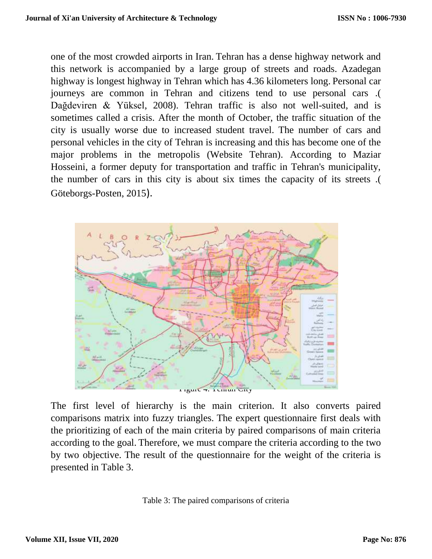one of the most crowded airports in Iran. Tehran has a dense highway network and this network is accompanied by a large group of streets and roads. Azadegan highway is longest highway in Tehran which has 4.36 kilometers long. Personal car journeys are common in Tehran and citizens tend to use personal cars .( Dağdeviren & Yüksel, 2008). Tehran traffic is also not well-suited, and is sometimes called a crisis. After the month of October, the traffic situation of the city is usually worse due to increased student travel. The number of cars and personal vehicles in the city of Tehran is increasing and this has become one of the major problems in the metropolis (Website Tehran). According to Maziar Hosseini, a former deputy for transportation and traffic in Tehran's municipality, the number of cars in this city is about six times the capacity of its streets .( Göteborgs-Posten, 2015).



The first level of hierarchy is the main criterion. It also converts paired comparisons matrix into fuzzy triangles. The expert questionnaire first deals with the prioritizing of each of the main criteria by paired comparisons of main criteria according to the goal. Therefore, we must compare the criteria according to the two by two objective. The result of the questionnaire for the weight of the criteria is presented in Table 3.

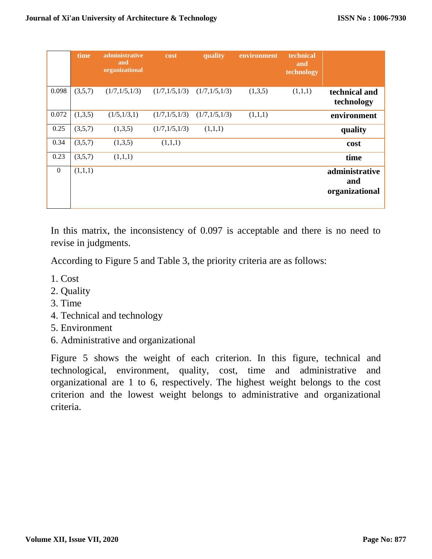|                  | time    | administrative<br>and<br>organizational | cost            | quality         | environment | technical<br>and<br>technology |                                         |
|------------------|---------|-----------------------------------------|-----------------|-----------------|-------------|--------------------------------|-----------------------------------------|
| 0.098            | (3,5,7) | (1/7,1/5,1/3)                           | (1/7,1/5,1/3)   | (1/7, 1/5, 1/3) | (1,3,5)     | (1,1,1)                        | technical and<br>technology             |
| 0.072            | (1,3,5) | (1/5,1/3,1)                             | (1/7, 1/5, 1/3) | (1/7, 1/5, 1/3) | (1,1,1)     |                                | environment                             |
| 0.25             | (3,5,7) | (1,3,5)                                 | (1/7,1/5,1/3)   | (1,1,1)         |             |                                | quality                                 |
| 0.34             | (3,5,7) | (1,3,5)                                 | (1,1,1)         |                 |             |                                | cost                                    |
| 0.23             | (3,5,7) | (1,1,1)                                 |                 |                 |             |                                | time                                    |
| $\boldsymbol{0}$ | (1,1,1) |                                         |                 |                 |             |                                | administrative<br>and<br>organizational |

In this matrix, the inconsistency of 0.097 is acceptable and there is no need to revise in judgments.

According to Figure 5 and Table 3, the priority criteria are as follows:

- 1. Cost
- 2. Quality
- 3. Time
- 4. Technical and technology
- 5. Environment
- 6. Administrative and organizational

Figure 5 shows the weight of each criterion. In this figure, technical and technological, environment, quality, cost, time and administrative and organizational are 1 to 6, respectively. The highest weight belongs to the cost criterion and the lowest weight belongs to administrative and organizational criteria.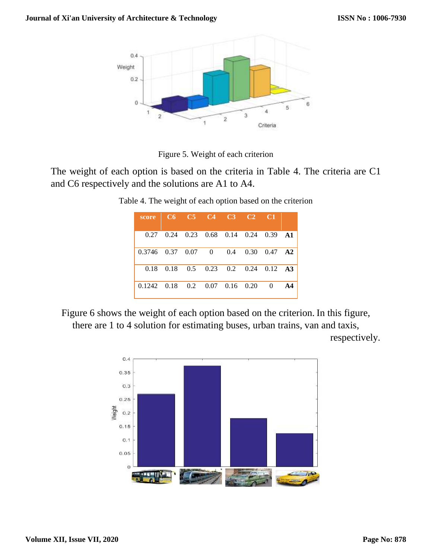

Figure 5. Weight of each criterion

The weight of each option is based on the criteria in Table 4. The criteria are C1 and C6 respectively and the solutions are A1 to A4.

|                                                        | $0.27$ 0.24 0.23 0.68 0.14 0.24 0.39 A1                  |  |  |                |  |
|--------------------------------------------------------|----------------------------------------------------------|--|--|----------------|--|
| $0.3746$ $0.37$ $0.07$ 0 $0.4$ $0.30$ $0.47$ <b>A2</b> |                                                          |  |  |                |  |
|                                                        | $0.18$ $0.18$ $0.5$ $0.23$ $0.2$ $0.24$ $0.12$ <b>A3</b> |  |  |                |  |
| $0.1242$ $0.18$ $0.2$ $0.07$ $0.16$ $0.20$             |                                                          |  |  | $\overline{0}$ |  |

Table 4. The weight of each option based on the criterion

Figure 6 shows the weight of each option based on the criterion. In this figure, there are 1 to 4 solution for estimating buses, urban trains, van and taxis,

respectively.

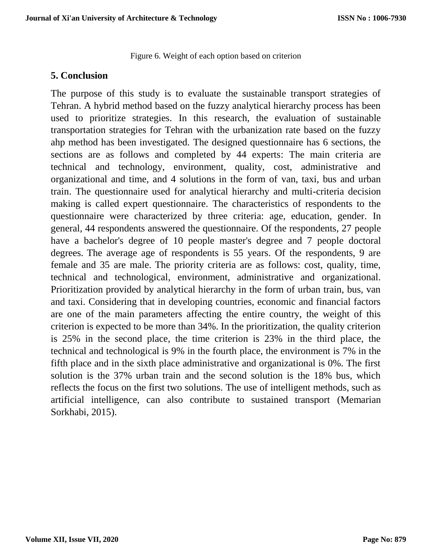Figure 6. Weight of each option based on criterion

### **5. Conclusion**

The purpose of this study is to evaluate the sustainable transport strategies of Tehran. A hybrid method based on the fuzzy analytical hierarchy process has been used to prioritize strategies. In this research, the evaluation of sustainable transportation strategies for Tehran with the urbanization rate based on the fuzzy ahp method has been investigated. The designed questionnaire has 6 sections, the sections are as follows and completed by 44 experts: The main criteria are technical and technology, environment, quality, cost, administrative and organizational and time, and 4 solutions in the form of van, taxi, bus and urban train. The questionnaire used for analytical hierarchy and multi-criteria decision making is called expert questionnaire. The characteristics of respondents to the questionnaire were characterized by three criteria: age, education, gender. In general, 44 respondents answered the questionnaire. Of the respondents, 27 people have a bachelor's degree of 10 people master's degree and 7 people doctoral degrees. The average age of respondents is 55 years. Of the respondents, 9 are female and 35 are male. The priority criteria are as follows: cost, quality, time, technical and technological, environment, administrative and organizational. Prioritization provided by analytical hierarchy in the form of urban train, bus, van and taxi. Considering that in developing countries, economic and financial factors are one of the main parameters affecting the entire country, the weight of this criterion is expected to be more than 34%. In the prioritization, the quality criterion is 25% in the second place, the time criterion is 23% in the third place, the technical and technological is 9% in the fourth place, the environment is 7% in the fifth place and in the sixth place administrative and organizational is 0%. The first solution is the 37% urban train and the second solution is the 18% bus, which reflects the focus on the first two solutions. The use of intelligent methods, such as artificial intelligence, can also contribute to sustained transport (Memarian Sorkhabi, 2015).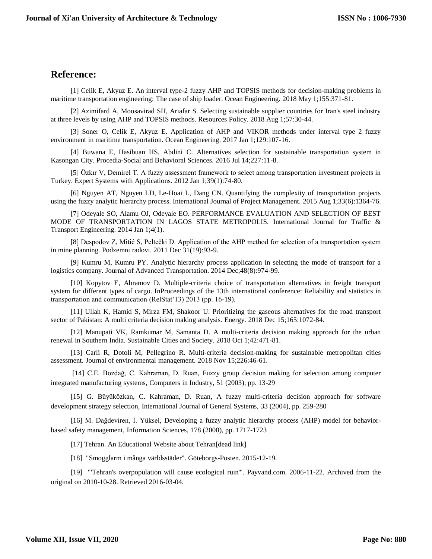### **Reference:**

[1] Celik E, Akyuz E. An interval type-2 fuzzy AHP and TOPSIS methods for decision-making problems in maritime transportation engineering: The case of ship loader. Ocean Engineering. 2018 May 1;155:371-81.

[2] Azimifard A, Moosavirad SH, Ariafar S. Selecting sustainable supplier countries for Iran's steel industry at three levels by using AHP and TOPSIS methods. Resources Policy. 2018 Aug 1;57:30-44.

[3] Soner O, Celik E, Akyuz E. Application of AHP and VIKOR methods under interval type 2 fuzzy environment in maritime transportation. Ocean Engineering. 2017 Jan 1;129:107-16.

[4] Buwana E, Hasibuan HS, Abdini C. Alternatives selection for sustainable transportation system in Kasongan City. Procedia-Social and Behavioral Sciences. 2016 Jul 14;227:11-8.

[5] Özkır V, Demirel T. A fuzzy assessment framework to select among transportation investment projects in Turkey. Expert Systems with Applications. 2012 Jan 1;39(1):74-80.

[6] Nguyen AT, Nguyen LD, Le-Hoai L, Dang CN. Quantifying the complexity of transportation projects using the fuzzy analytic hierarchy process. International Journal of Project Management. 2015 Aug 1;33(6):1364-76.

[7] Odeyale SO, Alamu OJ, Odeyale EO. PERFORMANCE EVALUATION AND SELECTION OF BEST MODE OF TRANSPORTATION IN LAGOS STATE METROPOLIS. International Journal for Traffic & Transport Engineering. 2014 Jan 1;4(1).

[8] Despodov Z, Mitić S, Peltečki D. Application of the AHP method for selection of a transportation system in mine planning. Podzemni radovi. 2011 Dec 31(19):93-9.

[9] Kumru M, Kumru PY. Analytic hierarchy process application in selecting the mode of transport for a logistics company. Journal of Advanced Transportation. 2014 Dec;48(8):974-99.

[10] Kopytov E, Abramov D. Multiple-criteria choice of transportation alternatives in freight transport system for different types of cargo. InProceedings of the 13th international conference: Reliability and statistics in transportation and communication (RelStat'13) 2013 (pp. 16-19).

[11] Ullah K, Hamid S, Mirza FM, Shakoor U. Prioritizing the gaseous alternatives for the road transport sector of Pakistan: A multi criteria decision making analysis. Energy. 2018 Dec 15;165:1072-84.

[12] Manupati VK, Ramkumar M, Samanta D. A multi-criteria decision making approach for the urban renewal in Southern India. Sustainable Cities and Society. 2018 Oct 1;42:471-81.

[13] Carli R, Dotoli M, Pellegrino R. Multi-criteria decision-making for sustainable metropolitan cities assessment. Journal of environmental management. 2018 Nov 15;226:46-61.

[14] C.E. Bozdağ, C. Kahraman, D. Ruan, Fuzzy group decision making for selection among computer integrated manufacturing systems, Computers in Industry, 51 (2003), pp. 13-29

[15] G. Büyüközkan, C. Kahraman, D. Ruan, A fuzzy multi-criteria decision approach for software development strategy selection, International Journal of General Systems, 33 (2004), pp. 259-280

[16] M. Dağdeviren, İ. Yüksel, Developing a fuzzy analytic hierarchy process (AHP) model for behaviorbased safety management, Information Sciences, 178 (2008), pp. 1717-1723

[17] Tehran. An Educational Website about Tehran[dead link]

[18] "Smogglarm i många världsstäder". Göteborgs-Posten. 2015-12-19.

[19] "'Tehran's overpopulation will cause ecological ruin'". Payvand.com. 2006-11-22. Archived from the original on 2010-10-28. Retrieved 2016-03-04.